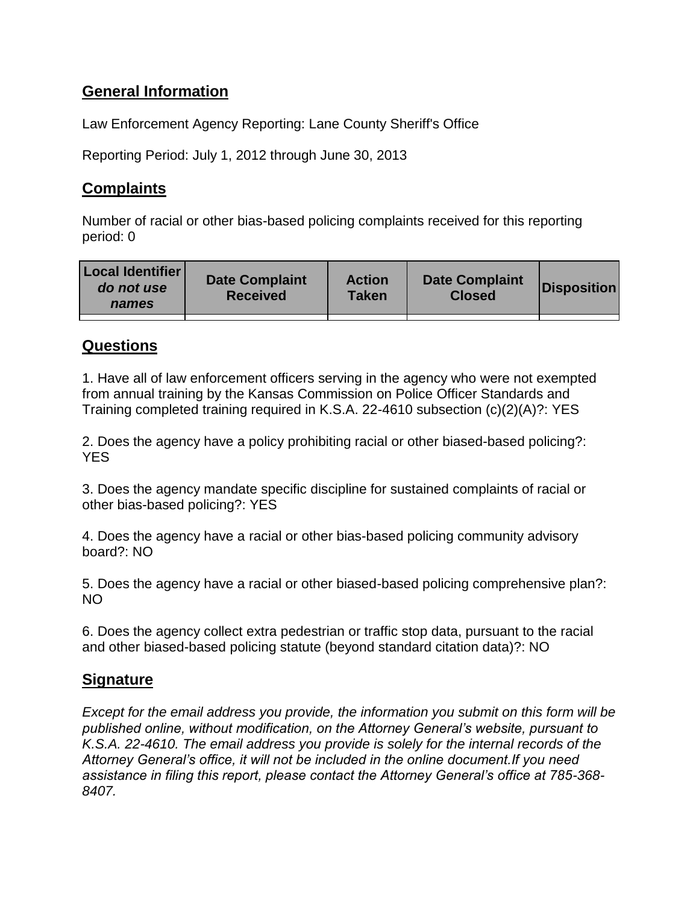# **General Information**

Law Enforcement Agency Reporting: Lane County Sheriff's Office

Reporting Period: July 1, 2012 through June 30, 2013

# **Complaints**

Number of racial or other bias-based policing complaints received for this reporting period: 0

| <b>Local Identifier</b><br>do not use<br>names | <b>Date Complaint</b><br><b>Received</b> | <b>Action</b><br>Taken | <b>Date Complaint</b><br><b>Closed</b> | Disposition |
|------------------------------------------------|------------------------------------------|------------------------|----------------------------------------|-------------|
|                                                |                                          |                        |                                        |             |

### **Questions**

1. Have all of law enforcement officers serving in the agency who were not exempted from annual training by the Kansas Commission on Police Officer Standards and Training completed training required in K.S.A. 22-4610 subsection (c)(2)(A)?: YES

2. Does the agency have a policy prohibiting racial or other biased-based policing?: **YES** 

3. Does the agency mandate specific discipline for sustained complaints of racial or other bias-based policing?: YES

4. Does the agency have a racial or other bias-based policing community advisory board?: NO

5. Does the agency have a racial or other biased-based policing comprehensive plan?: NO

6. Does the agency collect extra pedestrian or traffic stop data, pursuant to the racial and other biased-based policing statute (beyond standard citation data)?: NO

# **Signature**

*Except for the email address you provide, the information you submit on this form will be published online, without modification, on the Attorney General's website, pursuant to K.S.A. 22-4610. The email address you provide is solely for the internal records of the Attorney General's office, it will not be included in the online document.If you need assistance in filing this report, please contact the Attorney General's office at 785-368- 8407.*